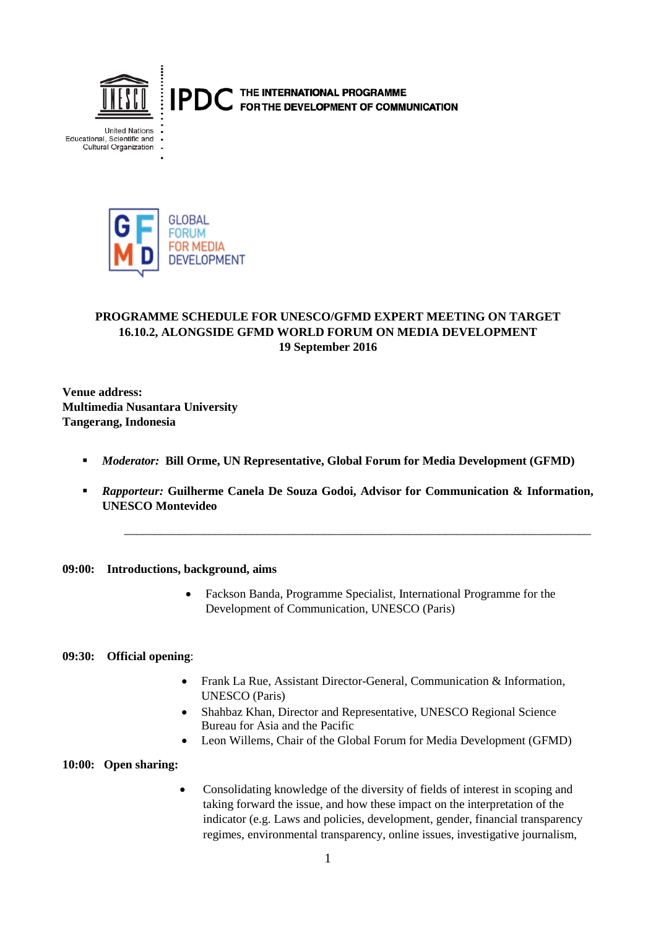



# **PROGRAMME SCHEDULE FOR UNESCO/GFMD EXPERT MEETING ON TARGET 16.10.2, ALONGSIDE GFMD WORLD FORUM ON MEDIA DEVELOPMENT 19 September 2016**

**Venue address: Multimedia Nusantara University Tangerang, Indonesia**

- *Moderator:* **Bill Orme, UN Representative, Global Forum for Media Development (GFMD)**
- *Rapporteur:* **Guilherme Canela De Souza Godoi, Advisor for Communication & Information, UNESCO Montevideo**

\_\_\_\_\_\_\_\_\_\_\_\_\_\_\_\_\_\_\_\_\_\_\_\_\_\_\_\_\_\_\_\_\_\_\_\_\_\_\_\_\_\_\_\_\_\_\_\_\_\_\_\_\_\_\_\_\_\_\_\_\_\_\_\_\_\_\_\_\_\_\_\_\_\_\_\_\_

#### **09:00: Introductions, background, aims**

• Fackson Banda, Programme Specialist, International Programme for the Development of Communication, UNESCO (Paris)

### **09:30: Official opening**:

- Frank La Rue, Assistant Director-General, Communication & Information, UNESCO (Paris)
- Shahbaz Khan, Director and Representative, UNESCO Regional Science Bureau for Asia and the Pacific
- Leon Willems, Chair of the Global Forum for Media Development (GFMD)

### **10:00: Open sharing:**

• Consolidating knowledge of the diversity of fields of interest in scoping and taking forward the issue, and how these impact on the interpretation of the indicator (e.g. Laws and policies, development, gender, financial transparency regimes, environmental transparency, online issues, investigative journalism,